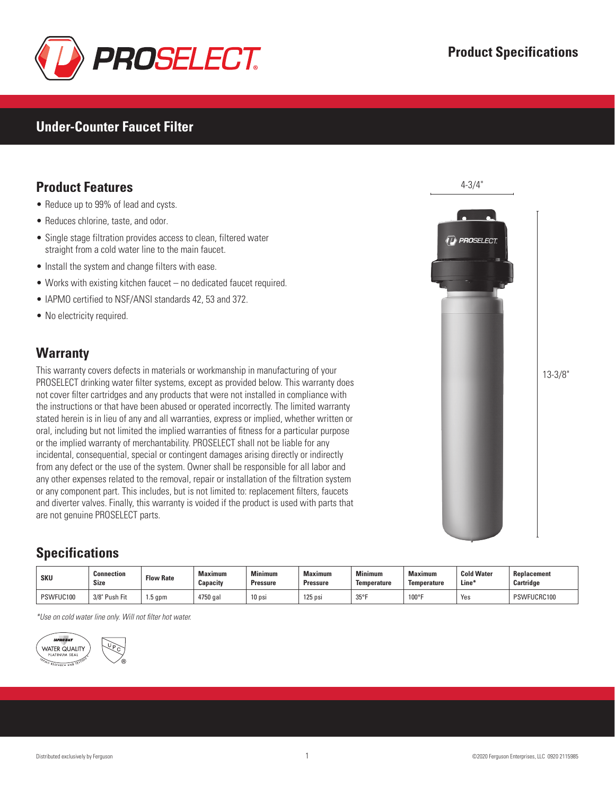

#### **Under-Counter Faucet Filter**

### **Product Features**

- Reduce up to 99% of lead and cysts.
- Reduces chlorine, taste, and odor.
- Single stage filtration provides access to clean, filtered water straight from a cold water line to the main faucet.
- Install the system and change filters with ease.
- Works with existing kitchen faucet no dedicated faucet required.
- IAPMO certified to NSF/ANSI standards 42, 53 and 372.
- No electricity required.

#### **Warranty**

This warranty covers defects in materials or workmanship in manufacturing of your PROSELECT drinking water filter systems, except as provided below. This warranty does not cover filter cartridges and any products that were not installed in compliance with the instructions or that have been abused or operated incorrectly. The limited warranty stated herein is in lieu of any and all warranties, express or implied, whether written or oral, including but not limited the implied warranties of fitness for a particular purpose or the implied warranty of merchantability. PROSELECT shall not be liable for any incidental, consequential, special or contingent damages arising directly or indirectly from any defect or the use of the system. Owner shall be responsible for all labor and any other expenses related to the removal, repair or installation of the filtration system or any component part. This includes, but is not limited to: replacement filters, faucets and diverter valves. Finally, this warranty is voided if the product is used with parts that are not genuine PROSELECT parts.

# **Specifications**

| <b>SKU</b> | Connection<br><b>Size</b> | <b>Flow Rate</b> | <b>Maximum</b><br>Capacity | <b>Minimum</b><br><b>Pressure</b> | <b>Maximum</b><br>Pressure | <b>Minimum</b><br><b>Temperature</b> | Maximum<br><b>Temperature</b> | <b>Cold Water</b><br>Line* | <b>Replacement</b><br>Cartridge |
|------------|---------------------------|------------------|----------------------------|-----------------------------------|----------------------------|--------------------------------------|-------------------------------|----------------------------|---------------------------------|
| PSWFUC100  | 3/8" Push Fit             | 1.5 gpm          | 1750 gai                   | 10 <sub>psi</sub>                 | 125 psi                    | $35^\circ$                           | $100^{\circ}$ F               | Yes                        | PSWFUCRC100                     |

*\*Use on cold water line only. Will not filter hot water.*